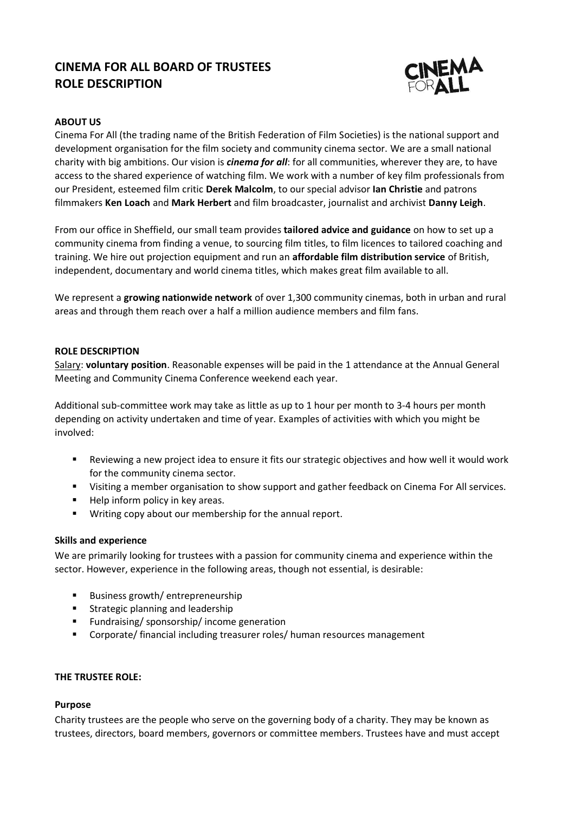# **CINEMA FOR ALL BOARD OF TRUSTEES ROLE DESCRIPTION**



## **ABOUT US**

Cinema For All (the trading name of the British Federation of Film Societies) is the national support and development organisation for the film society and community cinema sector. We are a small national charity with big ambitions. Our vision is *cinema for all*: for all communities, wherever they are, to have access to the shared experience of watching film. We work with a number of key film professionals from our President, esteemed film critic **Derek Malcolm**, to our special advisor **Ian Christie** and patrons filmmakers **Ken Loach** and **Mark Herbert** and film broadcaster, journalist and archivist **Danny Leigh**.

From our office in Sheffield, our small team provides **tailored advice and guidance** on how to set up a community cinema from finding a venue, to sourcing film titles, to film licences to tailored coaching and training. We hire out projection equipment and run an **affordable film distribution service** of British, independent, documentary and world cinema titles, which makes great film available to all.

We represent a **growing nationwide network** of over 1,300 community cinemas, both in urban and rural areas and through them reach over a half a million audience members and film fans.

## **ROLE DESCRIPTION**

Salary: **voluntary position**. Reasonable expenses will be paid in the 1 attendance at the Annual General Meeting and Community Cinema Conference weekend each year.

Additional sub-committee work may take as little as up to 1 hour per month to 3-4 hours per month depending on activity undertaken and time of year. Examples of activities with which you might be involved:

- Reviewing a new project idea to ensure it fits our strategic objectives and how well it would work for the community cinema sector.
- **E** Visiting a member organisation to show support and gather feedback on Cinema For All services.
- Help inform policy in key areas.
- Writing copy about our membership for the annual report.

## **Skills and experience**

We are primarily looking for trustees with a passion for community cinema and experience within the sector. However, experience in the following areas, though not essential, is desirable:

- Business growth/ entrepreneurship
- Strategic planning and leadership
- Fundraising/ sponsorship/ income generation
- Corporate/ financial including treasurer roles/ human resources management

## **THE TRUSTEE ROLE:**

## **Purpose**

Charity trustees are the people who serve on the governing body of a charity. They may be known as trustees, directors, board members, governors or committee members. Trustees have and must accept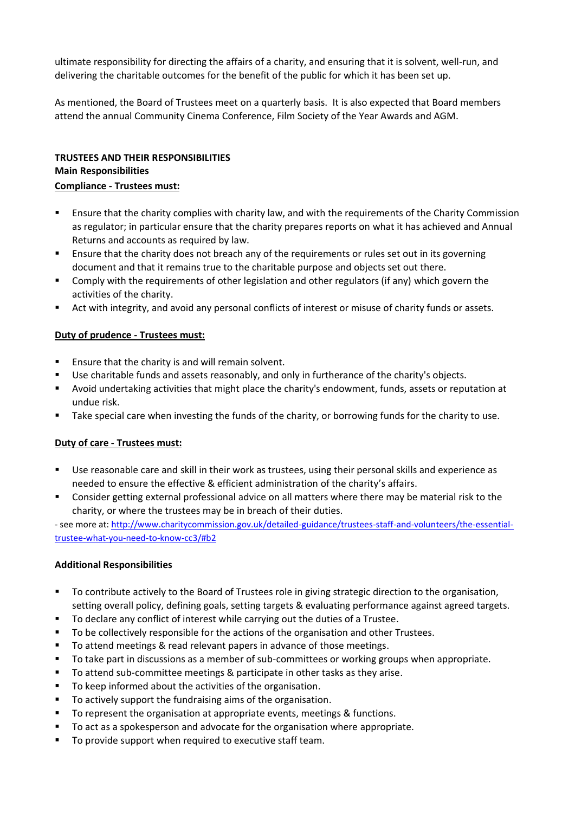ultimate responsibility for directing the affairs of a charity, and ensuring that it is solvent, well-run, and delivering the charitable outcomes for the benefit of the public for which it has been set up.

As mentioned, the Board of Trustees meet on a quarterly basis. It is also expected that Board members attend the annual Community Cinema Conference, Film Society of the Year Awards and AGM.

# **TRUSTEES AND THEIR RESPONSIBILITIES Main Responsibilities**

## **Compliance - Trustees must:**

- **E** Ensure that the charity complies with charity law, and with the requirements of the Charity Commission as regulator; in particular ensure that the charity prepares reports on what it has achieved and Annual Returns and accounts as required by law.
- **E** Ensure that the charity does not breach any of the requirements or rules set out in its governing document and that it remains true to the charitable purpose and objects set out there.
- Comply with the requirements of other legislation and other regulators (if any) which govern the activities of the charity.
- Act with integrity, and avoid any personal conflicts of interest or misuse of charity funds or assets.

# **Duty of prudence - Trustees must:**

- Ensure that the charity is and will remain solvent.
- Use charitable funds and assets reasonably, and only in furtherance of the charity's objects.
- Avoid undertaking activities that might place the charity's endowment, funds, assets or reputation at undue risk.
- Take special care when investing the funds of the charity, or borrowing funds for the charity to use.

## **Duty of care - Trustees must:**

- Use reasonable care and skill in their work as trustees, using their personal skills and experience as needed to ensure the effective & efficient administration of the charity's affairs.
- Consider getting external professional advice on all matters where there may be material risk to the charity, or where the trustees may be in breach of their duties.

- see more at: [http://www.charitycommission.gov.uk/detailed-guidance/trustees-staff-and-volunteers/the-essential](http://www.charitycommission.gov.uk/detailed-guidance/trustees-staff-and-volunteers/the-essential-trustee-what-you-need-to-know-cc3/#b2)[trustee-what-you-need-to-know-cc3/#b2](http://www.charitycommission.gov.uk/detailed-guidance/trustees-staff-and-volunteers/the-essential-trustee-what-you-need-to-know-cc3/#b2)

## **Additional Responsibilities**

- To contribute actively to the Board of Trustees role in giving strategic direction to the organisation, setting overall policy, defining goals, setting targets & evaluating performance against agreed targets.
- To declare any conflict of interest while carrying out the duties of a Trustee.
- To be collectively responsible for the actions of the organisation and other Trustees.
- To attend meetings & read relevant papers in advance of those meetings.
- To take part in discussions as a member of sub-committees or working groups when appropriate.
- To attend sub-committee meetings & participate in other tasks as they arise.
- To keep informed about the activities of the organisation.
- To actively support the fundraising aims of the organisation.
- To represent the organisation at appropriate events, meetings & functions.
- To act as a spokesperson and advocate for the organisation where appropriate.
- To provide support when required to executive staff team.